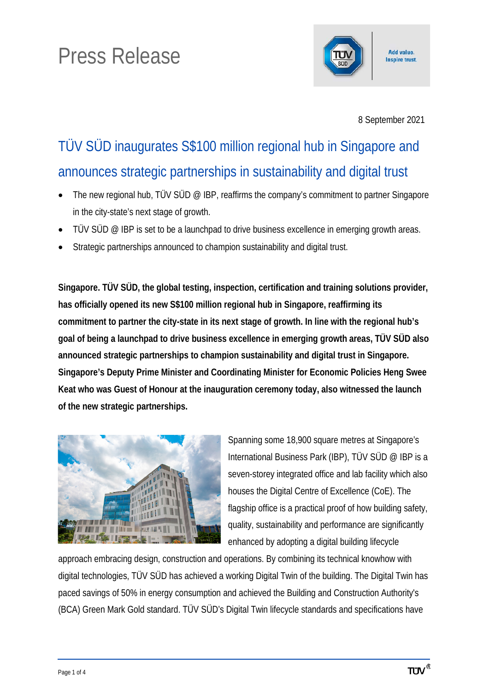# Press Release



8 September 2021

# TÜV SÜD inaugurates S\$100 million regional hub in Singapore and announces strategic partnerships in sustainability and digital trust

- The new regional hub, TÜV SÜD @ IBP, reaffirms the company's commitment to partner Singapore in the city-state's next stage of growth.
- TÜV SÜD @ IBP is set to be a launchpad to drive business excellence in emerging growth areas.
- Strategic partnerships announced to champion sustainability and digital trust.

**Singapore. TÜV SÜD, the global testing, inspection, certification and training solutions provider, has officially opened its new S\$100 million regional hub in Singapore, reaffirming its commitment to partner the city-state in its next stage of growth. In line with the regional hub's goal of being a launchpad to drive business excellence in emerging growth areas, TÜV SÜD also announced strategic partnerships to champion sustainability and digital trust in Singapore. Singapore's Deputy Prime Minister and Coordinating Minister for Economic Policies Heng Swee Keat who was Guest of Honour at the inauguration ceremony today, also witnessed the launch of the new strategic partnerships.** 



Spanning some 18,900 square metres at Singapore's International Business Park (IBP), TÜV SÜD @ IBP is a seven-storey integrated office and lab facility which also houses the Digital Centre of Excellence (CoE). The flagship office is a practical proof of how building safety, quality, sustainability and performance are significantly enhanced by adopting a digital building lifecycle

approach embracing design, construction and operations. By combining its technical knowhow with digital technologies, TÜV SÜD has achieved a working Digital Twin of the building. The Digital Twin has paced savings of 50% in energy consumption and achieved the Building and Construction Authority's (BCA) Green Mark Gold standard. TÜV SÜD's Digital Twin lifecycle standards and specifications have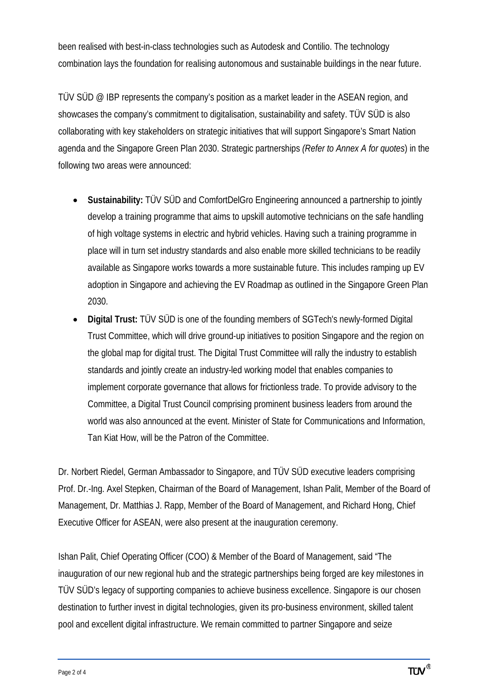been realised with best-in-class technologies such as Autodesk and Contilio. The technology combination lays the foundation for realising autonomous and sustainable buildings in the near future.

TÜV SÜD @ IBP represents the company's position as a market leader in the ASEAN region, and showcases the company's commitment to digitalisation, sustainability and safety. TÜV SÜD is also collaborating with key stakeholders on strategic initiatives that will support Singapore's Smart Nation agenda and the Singapore Green Plan 2030. Strategic partnerships *(Refer to Annex A for quotes*) in the following two areas were announced:

- **Sustainability:** TÜV SÜD and ComfortDelGro Engineering announced a partnership to jointly develop a training programme that aims to upskill automotive technicians on the safe handling of high voltage systems in electric and hybrid vehicles. Having such a training programme in place will in turn set industry standards and also enable more skilled technicians to be readily available as Singapore works towards a more sustainable future. This includes ramping up EV adoption in Singapore and achieving the EV Roadmap as outlined in the Singapore Green Plan 2030.
- **Digital Trust:** TÜV SÜD is one of the founding members of SGTech's newly-formed Digital Trust Committee, which will drive ground-up initiatives to position Singapore and the region on the global map for digital trust. The Digital Trust Committee will rally the industry to establish standards and jointly create an industry-led working model that enables companies to implement corporate governance that allows for frictionless trade. To provide advisory to the Committee, a Digital Trust Council comprising prominent business leaders from around the world was also announced at the event. Minister of State for Communications and Information, Tan Kiat How, will be the Patron of the Committee.

Dr. Norbert Riedel, German Ambassador to Singapore, and TÜV SÜD executive leaders comprising Prof. Dr.-Ing. Axel Stepken, Chairman of the Board of Management, Ishan Palit, Member of the Board of Management, Dr. Matthias J. Rapp, Member of the Board of Management, and Richard Hong, Chief Executive Officer for ASEAN, were also present at the inauguration ceremony.

Ishan Palit, Chief Operating Officer (COO) & Member of the Board of Management, said "The inauguration of our new regional hub and the strategic partnerships being forged are key milestones in TÜV SÜD's legacy of supporting companies to achieve business excellence. Singapore is our chosen destination to further invest in digital technologies, given its pro-business environment, skilled talent pool and excellent digital infrastructure. We remain committed to partner Singapore and seize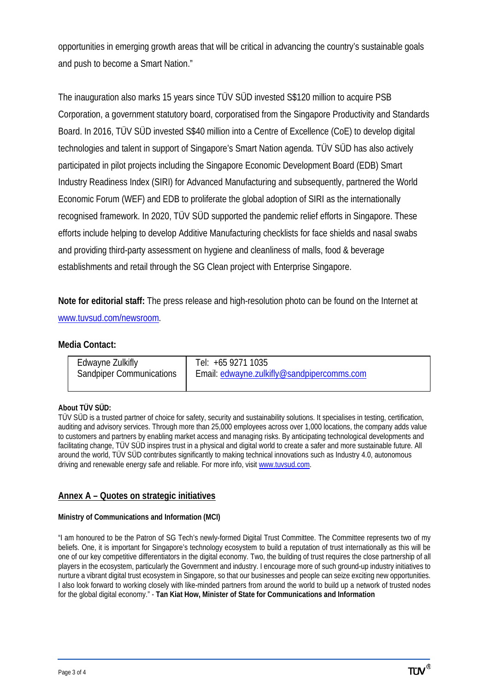opportunities in emerging growth areas that will be critical in advancing the country's sustainable goals and push to become a Smart Nation."

The inauguration also marks 15 years since TÜV SÜD invested S\$120 million to acquire PSB Corporation, a government statutory board, corporatised from the Singapore Productivity and Standards Board. In 2016, TÜV SÜD invested S\$40 million into a Centre of Excellence (CoE) to develop digital technologies and talent in support of Singapore's Smart Nation agenda. TÜV SÜD has also actively participated in pilot projects including the Singapore Economic Development Board (EDB) Smart Industry Readiness Index (SIRI) for Advanced Manufacturing and subsequently, partnered the World Economic Forum (WEF) and EDB to proliferate the global adoption of SIRI as the internationally recognised framework. In 2020, TÜV SÜD supported the pandemic relief efforts in Singapore. These efforts include helping to develop Additive Manufacturing checklists for face shields and nasal swabs and providing third-party assessment on hygiene and cleanliness of malls, food & beverage establishments and retail through the SG Clean project with Enterprise Singapore.

**Note for editorial staff:** The press release and high-resolution photo can be found on the Internet at [www.tuvsud.com/newsroom.](http://www.tuvsud.com/newsroom)

## **Media Contact:**

| Edwayne Zulkifly                | Tel: +65 9271 1035                         |
|---------------------------------|--------------------------------------------|
| <b>Sandpiper Communications</b> | Email: edwayne.zulkifly@sandpipercomms.com |

### **About TÜV SÜD:**

TÜV SÜD is a trusted partner of choice for safety, security and sustainability solutions. It specialises in testing, certification, auditing and advisory services. Through more than 25,000 employees across over 1,000 locations, the company adds value to customers and partners by enabling market access and managing risks. By anticipating technological developments and facilitating change, TÜV SÜD inspires trust in a physical and digital world to create a safer and more sustainable future. All around the world, TÜV SÜD contributes significantly to making technical innovations such as Industry 4.0, autonomous driving and renewable energy safe and reliable. For more info, visi[t www.tuvsud.com.](http://www.tuvsud.com/)

### **Annex A – Quotes on strategic initiatives**

### **Ministry of Communications and Information (MCI)**

"I am honoured to be the Patron of SG Tech's newly-formed Digital Trust Committee. The Committee represents two of my beliefs. One, it is important for Singapore's technology ecosystem to build a reputation of trust internationally as this will be one of our key competitive differentiators in the digital economy. Two, the building of trust requires the close partnership of all players in the ecosystem, particularly the Government and industry. I encourage more of such ground-up industry initiatives to nurture a vibrant digital trust ecosystem in Singapore, so that our businesses and people can seize exciting new opportunities. I also look forward to working closely with like-minded partners from around the world to build up a network of trusted nodes for the global digital economy." - **Tan Kiat How, Minister of State for Communications and Information**